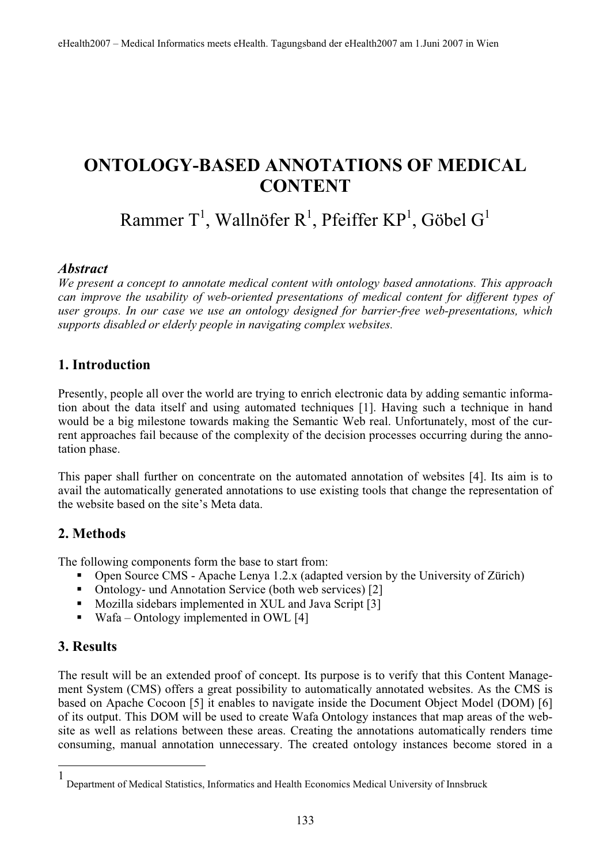# **ONTOLOGY-BASED ANNOTATIONS OF MEDICAL CONTENT**

Rammer T $^1$ , Wallnöfer R $^1$ , Pfeiffer KP $^1$ , Göbel G $^1$ 

#### *Abstract*

*We present a concept to annotate medical content with ontology based annotations. This approach can improve the usability of web-oriented presentations of medical content for different types of user groups. In our case we use an ontology designed for barrier-free web-presentations, which supports disabled or elderly people in navigating complex websites.* 

#### **1. Introduction**

Presently, people all over the world are trying to enrich electronic data by adding semantic information about the data itself and using automated techniques [1]. Having such a technique in hand would be a big milestone towards making the Semantic Web real. Unfortunately, most of the current approaches fail because of the complexity of the decision processes occurring during the annotation phase.

This paper shall further on concentrate on the automated annotation of websites [4]. Its aim is to avail the automatically generated annotations to use existing tools that change the representation of the website based on the site's Meta data.

# **2. Methods**

The following components form the base to start from:

- Open Source CMS Apache Lenya 1.2.x (adapted version by the University of Zürich)
- Ontology- und Annotation Service (both web services) [2]
- Mozilla sidebars implemented in XUL and Java Script [3]
- $\blacksquare$  Wafa Ontology implemented in OWL [4]

#### **3. Results**

The result will be an extended proof of concept. Its purpose is to verify that this Content Management System (CMS) offers a great possibility to automatically annotated websites. As the CMS is based on Apache Cocoon [5] it enables to navigate inside the Document Object Model (DOM) [6] of its output. This DOM will be used to create Wafa Ontology instances that map areas of the website as well as relations between these areas. Creating the annotations automatically renders time consuming, manual annotation unnecessary. The created ontology instances become stored in a

<sup>1</sup> Department of Medical Statistics, Informatics and Health Economics Medical University of Innsbruck